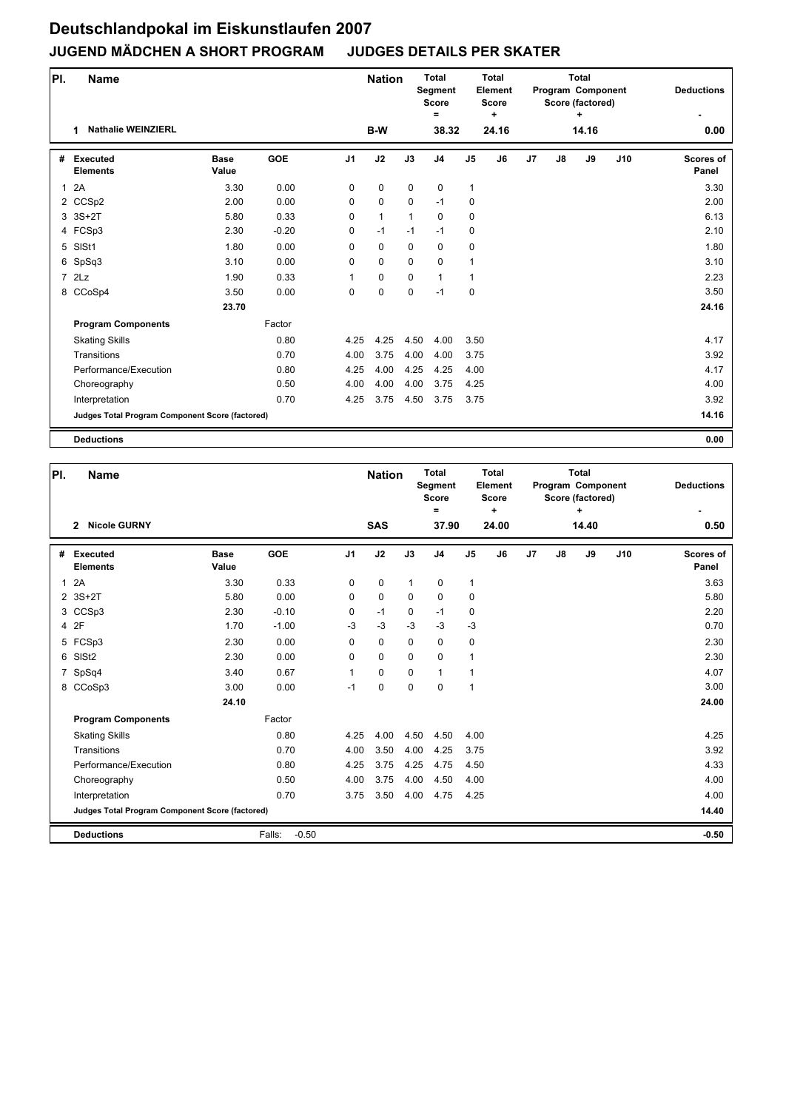| PI.          | <b>Name</b>                                     |                      |            |                | <b>Nation</b> |              | <b>Total</b><br>Segment<br><b>Score</b><br>$\equiv$ |                | <b>Total</b><br>Element<br><b>Score</b><br>٠ |    |    | <b>Total</b><br>Program Component<br>Score (factored)<br>+ |     | <b>Deductions</b>         |
|--------------|-------------------------------------------------|----------------------|------------|----------------|---------------|--------------|-----------------------------------------------------|----------------|----------------------------------------------|----|----|------------------------------------------------------------|-----|---------------------------|
|              | <b>Nathalie WEINZIERL</b><br>1                  |                      |            |                | B-W           |              | 38.32                                               |                | 24.16                                        |    |    | 14.16                                                      |     | 0.00                      |
| #            | <b>Executed</b><br><b>Elements</b>              | <b>Base</b><br>Value | <b>GOE</b> | J <sub>1</sub> | J2            | J3           | J <sub>4</sub>                                      | J <sub>5</sub> | J <sub>6</sub>                               | J7 | J8 | J9                                                         | J10 | <b>Scores of</b><br>Panel |
| $\mathbf{1}$ | 2A                                              | 3.30                 | 0.00       | 0              | 0             | $\mathbf 0$  | $\mathbf 0$                                         | $\mathbf{1}$   |                                              |    |    |                                                            |     | 3.30                      |
|              | 2 CCSp2                                         | 2.00                 | 0.00       | 0              | 0             | $\mathbf 0$  | $-1$                                                | 0              |                                              |    |    |                                                            |     | 2.00                      |
|              | 3 3S+2T                                         | 5.80                 | 0.33       | 0              | $\mathbf{1}$  | $\mathbf{1}$ | $\mathbf 0$                                         | 0              |                                              |    |    |                                                            |     | 6.13                      |
|              | 4 FCSp3                                         | 2.30                 | $-0.20$    | 0              | $-1$          | $-1$         | $-1$                                                | 0              |                                              |    |    |                                                            |     | 2.10                      |
| 5            | SISt1                                           | 1.80                 | 0.00       | 0              | 0             | $\mathbf 0$  | 0                                                   | 0              |                                              |    |    |                                                            |     | 1.80                      |
|              | 6 SpSq3                                         | 3.10                 | 0.00       | $\Omega$       | 0             | $\mathbf 0$  | $\mathbf 0$                                         | $\mathbf{1}$   |                                              |    |    |                                                            |     | 3.10                      |
|              | 7 2Lz                                           | 1.90                 | 0.33       | 1              | 0             | $\mathbf 0$  | $\mathbf{1}$                                        | $\mathbf{1}$   |                                              |    |    |                                                            |     | 2.23                      |
|              | 8 CCoSp4                                        | 3.50                 | 0.00       | $\Omega$       | 0             | 0            | $-1$                                                | 0              |                                              |    |    |                                                            |     | 3.50                      |
|              |                                                 | 23.70                |            |                |               |              |                                                     |                |                                              |    |    |                                                            |     | 24.16                     |
|              | <b>Program Components</b>                       |                      | Factor     |                |               |              |                                                     |                |                                              |    |    |                                                            |     |                           |
|              | <b>Skating Skills</b>                           |                      | 0.80       | 4.25           | 4.25          | 4.50         | 4.00                                                | 3.50           |                                              |    |    |                                                            |     | 4.17                      |
|              | Transitions                                     |                      | 0.70       | 4.00           | 3.75          | 4.00         | 4.00                                                | 3.75           |                                              |    |    |                                                            |     | 3.92                      |
|              | Performance/Execution                           |                      | 0.80       | 4.25           | 4.00          | 4.25         | 4.25                                                | 4.00           |                                              |    |    |                                                            |     | 4.17                      |
|              | Choreography                                    |                      | 0.50       | 4.00           | 4.00          | 4.00         | 3.75                                                | 4.25           |                                              |    |    |                                                            |     | 4.00                      |
|              | Interpretation                                  |                      | 0.70       | 4.25           | 3.75          | 4.50         | 3.75                                                | 3.75           |                                              |    |    |                                                            |     | 3.92                      |
|              | Judges Total Program Component Score (factored) |                      |            |                |               |              |                                                     |                |                                              |    |    |                                                            |     | 14.16                     |
|              | <b>Deductions</b>                               |                      |            |                |               |              |                                                     |                |                                              |    |    |                                                            |     | 0.00                      |

| PI.          | <b>Name</b>                                     |                      |                   |                | <b>Nation</b> |              | <b>Total</b><br><b>Segment</b><br><b>Score</b><br>$=$ |                | <b>Total</b><br>Element<br><b>Score</b><br>٠ |    |    | <b>Total</b><br>Program Component<br>Score (factored)<br>٠ |     | <b>Deductions</b>  |
|--------------|-------------------------------------------------|----------------------|-------------------|----------------|---------------|--------------|-------------------------------------------------------|----------------|----------------------------------------------|----|----|------------------------------------------------------------|-----|--------------------|
|              | <b>Nicole GURNY</b><br>$\overline{2}$           |                      |                   |                | <b>SAS</b>    |              | 37.90                                                 |                | 24.00                                        |    |    | 14.40                                                      |     | 0.50               |
| #            | Executed<br><b>Elements</b>                     | <b>Base</b><br>Value | <b>GOE</b>        | J <sub>1</sub> | J2            | J3           | J <sub>4</sub>                                        | J <sub>5</sub> | J6                                           | J7 | J8 | J9                                                         | J10 | Scores of<br>Panel |
| $\mathbf{1}$ | 2A                                              | 3.30                 | 0.33              | $\mathbf 0$    | $\pmb{0}$     | $\mathbf{1}$ | 0                                                     | 1              |                                              |    |    |                                                            |     | 3.63               |
|              | 2 3S+2T                                         | 5.80                 | 0.00              | $\Omega$       | $\mathbf 0$   | $\Omega$     | $\Omega$                                              | 0              |                                              |    |    |                                                            |     | 5.80               |
|              | 3 CCSp3                                         | 2.30                 | $-0.10$           | $\mathbf 0$    | $-1$          | $\Omega$     | $-1$                                                  | 0              |                                              |    |    |                                                            |     | 2.20               |
|              | 4 2F                                            | 1.70                 | $-1.00$           | $-3$           | $-3$          | $-3$         | $-3$                                                  | $-3$           |                                              |    |    |                                                            |     | 0.70               |
|              | 5 FCSp3                                         | 2.30                 | 0.00              | $\Omega$       | $\mathbf 0$   | $\Omega$     | $\Omega$                                              | 0              |                                              |    |    |                                                            |     | 2.30               |
| 6            | SIS <sub>t2</sub>                               | 2.30                 | 0.00              | 0              | $\mathbf 0$   | $\mathbf 0$  | $\mathbf 0$                                           | $\mathbf{1}$   |                                              |    |    |                                                            |     | 2.30               |
| 7            | SpSq4                                           | 3.40                 | 0.67              | 1              | $\mathbf 0$   | $\Omega$     | 1                                                     | $\mathbf{1}$   |                                              |    |    |                                                            |     | 4.07               |
|              | 8 CCoSp3                                        | 3.00                 | 0.00              | $-1$           | $\mathbf 0$   | $\mathbf 0$  | $\mathbf 0$                                           | $\mathbf{1}$   |                                              |    |    |                                                            |     | 3.00               |
|              |                                                 | 24.10                |                   |                |               |              |                                                       |                |                                              |    |    |                                                            |     | 24.00              |
|              | <b>Program Components</b>                       |                      | Factor            |                |               |              |                                                       |                |                                              |    |    |                                                            |     |                    |
|              | <b>Skating Skills</b>                           |                      | 0.80              | 4.25           | 4.00          | 4.50         | 4.50                                                  | 4.00           |                                              |    |    |                                                            |     | 4.25               |
|              | Transitions                                     |                      | 0.70              | 4.00           | 3.50          | 4.00         | 4.25                                                  | 3.75           |                                              |    |    |                                                            |     | 3.92               |
|              | Performance/Execution                           |                      | 0.80              | 4.25           | 3.75          | 4.25         | 4.75                                                  | 4.50           |                                              |    |    |                                                            |     | 4.33               |
|              | Choreography                                    |                      | 0.50              | 4.00           | 3.75          | 4.00         | 4.50                                                  | 4.00           |                                              |    |    |                                                            |     | 4.00               |
|              | Interpretation                                  |                      | 0.70              | 3.75           | 3.50          | 4.00         | 4.75                                                  | 4.25           |                                              |    |    |                                                            |     | 4.00               |
|              | Judges Total Program Component Score (factored) |                      |                   |                |               |              |                                                       |                |                                              |    |    |                                                            |     | 14.40              |
|              | <b>Deductions</b>                               |                      | $-0.50$<br>Falls: |                |               |              |                                                       |                |                                              |    |    |                                                            |     | $-0.50$            |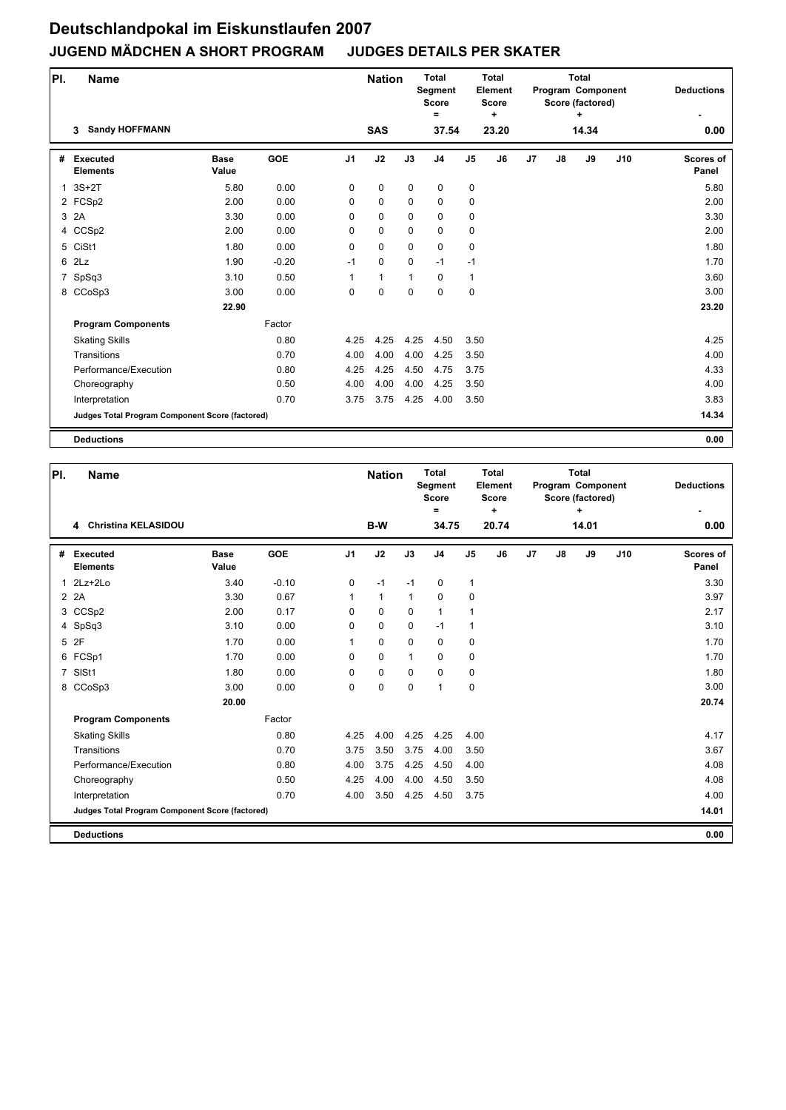| PI.          | <b>Name</b>                                     |                      |            |                | <b>Nation</b> |              | <b>Total</b><br>Segment<br><b>Score</b><br>$=$ |                | <b>Total</b><br>Element<br><b>Score</b><br>٠ |    |    | <b>Total</b><br>Program Component<br>Score (factored)<br>٠ |     | <b>Deductions</b>         |
|--------------|-------------------------------------------------|----------------------|------------|----------------|---------------|--------------|------------------------------------------------|----------------|----------------------------------------------|----|----|------------------------------------------------------------|-----|---------------------------|
|              | <b>Sandy HOFFMANN</b><br>3                      |                      |            |                | <b>SAS</b>    |              | 37.54                                          |                | 23.20                                        |    |    | 14.34                                                      |     | 0.00                      |
| #            | <b>Executed</b><br><b>Elements</b>              | <b>Base</b><br>Value | <b>GOE</b> | J <sub>1</sub> | J2            | J3           | J <sub>4</sub>                                 | J <sub>5</sub> | J <sub>6</sub>                               | J7 | J8 | J9                                                         | J10 | <b>Scores of</b><br>Panel |
| $\mathbf{1}$ | $3S+2T$                                         | 5.80                 | 0.00       | 0              | 0             | $\mathbf 0$  | $\mathbf 0$                                    | 0              |                                              |    |    |                                                            |     | 5.80                      |
|              | 2 FCSp2                                         | 2.00                 | 0.00       | 0              | 0             | $\mathbf 0$  | $\mathbf 0$                                    | 0              |                                              |    |    |                                                            |     | 2.00                      |
| 3            | 2A                                              | 3.30                 | 0.00       | 0              | 0             | $\mathbf 0$  | $\mathbf 0$                                    | 0              |                                              |    |    |                                                            |     | 3.30                      |
|              | 4 CCSp2                                         | 2.00                 | 0.00       | 0              | 0             | $\mathbf 0$  | $\mathbf 0$                                    | 0              |                                              |    |    |                                                            |     | 2.00                      |
|              | 5 CiSt1                                         | 1.80                 | 0.00       | 0              | 0             | $\mathbf 0$  | 0                                              | 0              |                                              |    |    |                                                            |     | 1.80                      |
|              | 6 2Lz                                           | 1.90                 | $-0.20$    | $-1$           | 0             | $\mathbf 0$  | $-1$                                           | $-1$           |                                              |    |    |                                                            |     | 1.70                      |
| 7            | SpSq3                                           | 3.10                 | 0.50       | 1              | $\mathbf{1}$  | $\mathbf{1}$ | $\mathbf 0$                                    | $\mathbf{1}$   |                                              |    |    |                                                            |     | 3.60                      |
|              | 8 CCoSp3                                        | 3.00                 | 0.00       | 0              | 0             | $\mathbf 0$  | $\mathbf 0$                                    | 0              |                                              |    |    |                                                            |     | 3.00                      |
|              |                                                 | 22.90                |            |                |               |              |                                                |                |                                              |    |    |                                                            |     | 23.20                     |
|              | <b>Program Components</b>                       |                      | Factor     |                |               |              |                                                |                |                                              |    |    |                                                            |     |                           |
|              | <b>Skating Skills</b>                           |                      | 0.80       | 4.25           | 4.25          | 4.25         | 4.50                                           | 3.50           |                                              |    |    |                                                            |     | 4.25                      |
|              | Transitions                                     |                      | 0.70       | 4.00           | 4.00          | 4.00         | 4.25                                           | 3.50           |                                              |    |    |                                                            |     | 4.00                      |
|              | Performance/Execution                           |                      | 0.80       | 4.25           | 4.25          | 4.50         | 4.75                                           | 3.75           |                                              |    |    |                                                            |     | 4.33                      |
|              | Choreography                                    |                      | 0.50       | 4.00           | 4.00          | 4.00         | 4.25                                           | 3.50           |                                              |    |    |                                                            |     | 4.00                      |
|              | Interpretation                                  |                      | 0.70       | 3.75           | 3.75          | 4.25         | 4.00                                           | 3.50           |                                              |    |    |                                                            |     | 3.83                      |
|              | Judges Total Program Component Score (factored) |                      |            |                |               |              |                                                |                |                                              |    |    |                                                            |     | 14.34                     |
|              | <b>Deductions</b>                               |                      |            |                |               |              |                                                |                |                                              |    |    |                                                            |     | 0.00                      |

| PI.            | <b>Name</b>                                     |                      |            |                | <b>Nation</b> |              | <b>Total</b><br>Segment<br><b>Score</b><br>$\equiv$ |                | Total<br>Element<br><b>Score</b><br>٠ |    |    | <b>Total</b><br>Program Component<br>Score (factored)<br>÷ |     | <b>Deductions</b>         |
|----------------|-------------------------------------------------|----------------------|------------|----------------|---------------|--------------|-----------------------------------------------------|----------------|---------------------------------------|----|----|------------------------------------------------------------|-----|---------------------------|
|                | 4 Christina KELASIDOU                           |                      |            |                | B-W           |              | 34.75                                               |                | 20.74                                 |    |    | 14.01                                                      |     | 0.00                      |
| #              | Executed<br><b>Elements</b>                     | <b>Base</b><br>Value | <b>GOE</b> | J <sub>1</sub> | J2            | J3           | J <sub>4</sub>                                      | J <sub>5</sub> | J <sub>6</sub>                        | J7 | J8 | J9                                                         | J10 | <b>Scores of</b><br>Panel |
| $\mathbf{1}$   | $2Lz+2Lo$                                       | 3.40                 | $-0.10$    | 0              | $-1$          | $-1$         | 0                                                   | $\mathbf{1}$   |                                       |    |    |                                                            |     | 3.30                      |
|                | 2 2 A                                           | 3.30                 | 0.67       | $\mathbf{1}$   | $\mathbf{1}$  | $\mathbf{1}$ | 0                                                   | 0              |                                       |    |    |                                                            |     | 3.97                      |
|                | 3 CCSp2                                         | 2.00                 | 0.17       | 0              | $\Omega$      | $\mathbf 0$  | $\mathbf{1}$                                        | $\overline{1}$ |                                       |    |    |                                                            |     | 2.17                      |
|                | 4 SpSq3                                         | 3.10                 | 0.00       | 0              | $\mathbf 0$   | $\Omega$     | $-1$                                                | $\mathbf 1$    |                                       |    |    |                                                            |     | 3.10                      |
|                | 5 2F                                            | 1.70                 | 0.00       | 1              | $\mathbf{0}$  | $\Omega$     | $\Omega$                                            | 0              |                                       |    |    |                                                            |     | 1.70                      |
|                | 6 FCSp1                                         | 1.70                 | 0.00       | 0              | $\mathbf 0$   | $\mathbf{1}$ | 0                                                   | 0              |                                       |    |    |                                                            |     | 1.70                      |
| $\overline{7}$ | SISt1                                           | 1.80                 | 0.00       | 0              | $\mathbf 0$   | $\Omega$     | $\Omega$                                            | 0              |                                       |    |    |                                                            |     | 1.80                      |
|                | 8 CCoSp3                                        | 3.00                 | 0.00       | 0              | 0             | 0            | $\mathbf{1}$                                        | 0              |                                       |    |    |                                                            |     | 3.00                      |
|                |                                                 | 20.00                |            |                |               |              |                                                     |                |                                       |    |    |                                                            |     | 20.74                     |
|                | <b>Program Components</b>                       |                      | Factor     |                |               |              |                                                     |                |                                       |    |    |                                                            |     |                           |
|                | <b>Skating Skills</b>                           |                      | 0.80       | 4.25           | 4.00          | 4.25         | 4.25                                                | 4.00           |                                       |    |    |                                                            |     | 4.17                      |
|                | Transitions                                     |                      | 0.70       | 3.75           | 3.50          | 3.75         | 4.00                                                | 3.50           |                                       |    |    |                                                            |     | 3.67                      |
|                | Performance/Execution                           |                      | 0.80       | 4.00           | 3.75          | 4.25         | 4.50                                                | 4.00           |                                       |    |    |                                                            |     | 4.08                      |
|                | Choreography                                    |                      | 0.50       | 4.25           | 4.00          | 4.00         | 4.50                                                | 3.50           |                                       |    |    |                                                            |     | 4.08                      |
|                | Interpretation                                  |                      | 0.70       | 4.00           | 3.50          | 4.25         | 4.50                                                | 3.75           |                                       |    |    |                                                            |     | 4.00                      |
|                | Judges Total Program Component Score (factored) |                      |            |                |               |              |                                                     |                |                                       |    |    |                                                            |     | 14.01                     |
|                | <b>Deductions</b>                               |                      |            |                |               |              |                                                     |                |                                       |    |    |                                                            |     | 0.00                      |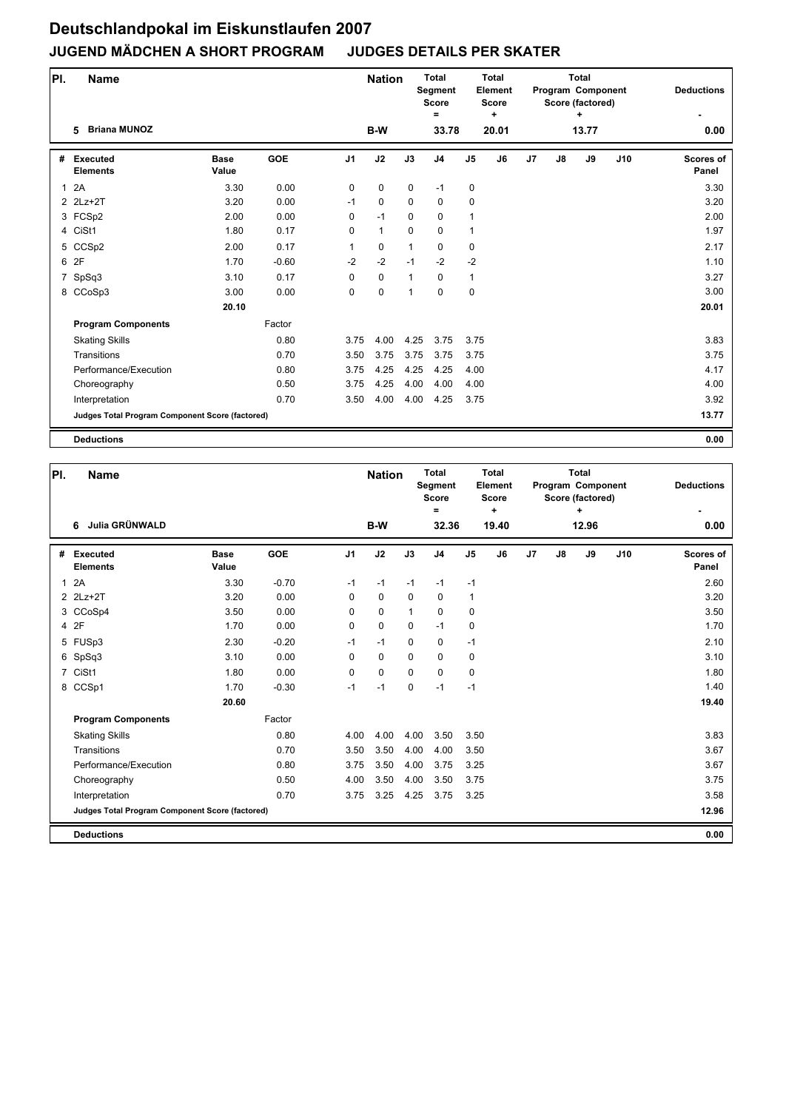| PI.            | <b>Name</b>                                     |                      |            |                | <b>Nation</b> |              | <b>Total</b><br><b>Segment</b><br><b>Score</b><br>$\equiv$ |                | <b>Total</b><br>Element<br><b>Score</b><br>٠ |    |    | <b>Total</b><br>Program Component<br>Score (factored)<br>+ |     | <b>Deductions</b>         |
|----------------|-------------------------------------------------|----------------------|------------|----------------|---------------|--------------|------------------------------------------------------------|----------------|----------------------------------------------|----|----|------------------------------------------------------------|-----|---------------------------|
|                | <b>Briana MUNOZ</b><br>5                        |                      |            |                | B-W           |              | 33.78                                                      |                | 20.01                                        |    |    | 13.77                                                      |     | 0.00                      |
| #              | <b>Executed</b><br><b>Elements</b>              | <b>Base</b><br>Value | <b>GOE</b> | J <sub>1</sub> | J2            | J3           | J <sub>4</sub>                                             | J <sub>5</sub> | J6                                           | J7 | J8 | J9                                                         | J10 | <b>Scores of</b><br>Panel |
| $\mathbf{1}$   | 2A                                              | 3.30                 | 0.00       | 0              | $\pmb{0}$     | $\mathbf 0$  | $-1$                                                       | $\pmb{0}$      |                                              |    |    |                                                            |     | 3.30                      |
|                | 2 2Lz+2T                                        | 3.20                 | 0.00       | $-1$           | 0             | $\mathbf 0$  | 0                                                          | 0              |                                              |    |    |                                                            |     | 3.20                      |
|                | 3 FCSp2                                         | 2.00                 | 0.00       | $\mathbf 0$    | $-1$          | 0            | 0                                                          | 1              |                                              |    |    |                                                            |     | 2.00                      |
|                | 4 CiSt1                                         | 1.80                 | 0.17       | $\Omega$       | $\mathbf{1}$  | $\Omega$     | $\mathbf 0$                                                | 1              |                                              |    |    |                                                            |     | 1.97                      |
|                | 5 CCSp2                                         | 2.00                 | 0.17       | 1              | 0             | $\mathbf{1}$ | 0                                                          | 0              |                                              |    |    |                                                            |     | 2.17                      |
|                | 6 2F                                            | 1.70                 | $-0.60$    | $-2$           | $-2$          | $-1$         | $-2$                                                       | $-2$           |                                              |    |    |                                                            |     | 1.10                      |
| $\overline{7}$ | SpSq3                                           | 3.10                 | 0.17       | $\mathbf 0$    | $\pmb{0}$     | $\mathbf{1}$ | 0                                                          | 1              |                                              |    |    |                                                            |     | 3.27                      |
|                | 8 CCoSp3                                        | 3.00                 | 0.00       | $\mathbf 0$    | $\mathbf 0$   | 1            | $\mathbf 0$                                                | 0              |                                              |    |    |                                                            |     | 3.00                      |
|                |                                                 | 20.10                |            |                |               |              |                                                            |                |                                              |    |    |                                                            |     | 20.01                     |
|                | <b>Program Components</b>                       |                      | Factor     |                |               |              |                                                            |                |                                              |    |    |                                                            |     |                           |
|                | <b>Skating Skills</b>                           |                      | 0.80       | 3.75           | 4.00          | 4.25         | 3.75                                                       | 3.75           |                                              |    |    |                                                            |     | 3.83                      |
|                | Transitions                                     |                      | 0.70       | 3.50           | 3.75          | 3.75         | 3.75                                                       | 3.75           |                                              |    |    |                                                            |     | 3.75                      |
|                | Performance/Execution                           |                      | 0.80       | 3.75           | 4.25          | 4.25         | 4.25                                                       | 4.00           |                                              |    |    |                                                            |     | 4.17                      |
|                | Choreography                                    |                      | 0.50       | 3.75           | 4.25          | 4.00         | 4.00                                                       | 4.00           |                                              |    |    |                                                            |     | 4.00                      |
|                | Interpretation                                  |                      | 0.70       | 3.50           | 4.00          | 4.00         | 4.25                                                       | 3.75           |                                              |    |    |                                                            |     | 3.92                      |
|                | Judges Total Program Component Score (factored) |                      |            |                |               |              |                                                            |                |                                              |    |    |                                                            |     | 13.77                     |
|                | <b>Deductions</b>                               |                      |            |                |               |              |                                                            |                |                                              |    |    |                                                            |     | 0.00                      |

| PI.            | Name                                            |                      |            |                | <b>Nation</b> |             | Total<br>Segment<br><b>Score</b><br>Ξ |                | <b>Total</b><br>Element<br><b>Score</b><br>٠ |    |    | <b>Total</b><br>Program Component<br>Score (factored)<br>$\ddot{}$ |     | <b>Deductions</b>         |
|----------------|-------------------------------------------------|----------------------|------------|----------------|---------------|-------------|---------------------------------------|----------------|----------------------------------------------|----|----|--------------------------------------------------------------------|-----|---------------------------|
|                | Julia GRÜNWALD<br>6                             |                      |            |                | B-W           |             | 32.36                                 |                | 19.40                                        |    |    | 12.96                                                              |     | 0.00                      |
| #              | <b>Executed</b><br><b>Elements</b>              | <b>Base</b><br>Value | <b>GOE</b> | J <sub>1</sub> | J2            | J3          | J <sub>4</sub>                        | J <sub>5</sub> | J6                                           | J7 | J8 | J9                                                                 | J10 | <b>Scores of</b><br>Panel |
| 1              | 2A                                              | 3.30                 | $-0.70$    | $-1$           | $-1$          | $-1$        | $-1$                                  | $-1$           |                                              |    |    |                                                                    |     | 2.60                      |
|                | 2 2Lz+2T                                        | 3.20                 | 0.00       | $\Omega$       | $\mathbf 0$   | $\mathbf 0$ | $\mathbf 0$                           | 1              |                                              |    |    |                                                                    |     | 3.20                      |
|                | 3 CCoSp4                                        | 3.50                 | 0.00       | $\Omega$       | $\mathbf 0$   | 1           | $\mathbf 0$                           | 0              |                                              |    |    |                                                                    |     | 3.50                      |
|                | 4 2F                                            | 1.70                 | 0.00       | 0              | $\mathbf 0$   | $\Omega$    | $-1$                                  | 0              |                                              |    |    |                                                                    |     | 1.70                      |
|                | 5 FUSp3                                         | 2.30                 | $-0.20$    | $-1$           | $-1$          | $\Omega$    | $\mathbf 0$                           | $-1$           |                                              |    |    |                                                                    |     | 2.10                      |
|                | 6 SpSq3                                         | 3.10                 | 0.00       | $\mathbf 0$    | $\mathbf 0$   | $\mathbf 0$ | $\mathbf 0$                           | $\mathbf 0$    |                                              |    |    |                                                                    |     | 3.10                      |
| $\overline{7}$ | CiSt1                                           | 1.80                 | 0.00       | $\mathbf 0$    | $\mathbf 0$   | $\mathbf 0$ | $\mathbf 0$                           | $\mathbf 0$    |                                              |    |    |                                                                    |     | 1.80                      |
|                | 8 CCSp1                                         | 1.70                 | $-0.30$    | $-1$           | $-1$          | $\mathbf 0$ | $-1$                                  | $-1$           |                                              |    |    |                                                                    |     | 1.40                      |
|                |                                                 | 20.60                |            |                |               |             |                                       |                |                                              |    |    |                                                                    |     | 19.40                     |
|                | <b>Program Components</b>                       |                      | Factor     |                |               |             |                                       |                |                                              |    |    |                                                                    |     |                           |
|                | <b>Skating Skills</b>                           |                      | 0.80       | 4.00           | 4.00          | 4.00        | 3.50                                  | 3.50           |                                              |    |    |                                                                    |     | 3.83                      |
|                | Transitions                                     |                      | 0.70       | 3.50           | 3.50          | 4.00        | 4.00                                  | 3.50           |                                              |    |    |                                                                    |     | 3.67                      |
|                | Performance/Execution                           |                      | 0.80       | 3.75           | 3.50          | 4.00        | 3.75                                  | 3.25           |                                              |    |    |                                                                    |     | 3.67                      |
|                | Choreography                                    |                      | 0.50       | 4.00           | 3.50          | 4.00        | 3.50                                  | 3.75           |                                              |    |    |                                                                    |     | 3.75                      |
|                | Interpretation                                  |                      | 0.70       | 3.75           | 3.25          | 4.25        | 3.75                                  | 3.25           |                                              |    |    |                                                                    |     | 3.58                      |
|                | Judges Total Program Component Score (factored) |                      |            |                |               |             |                                       |                |                                              |    |    |                                                                    |     | 12.96                     |
|                | <b>Deductions</b>                               |                      |            |                |               |             |                                       |                |                                              |    |    |                                                                    |     | 0.00                      |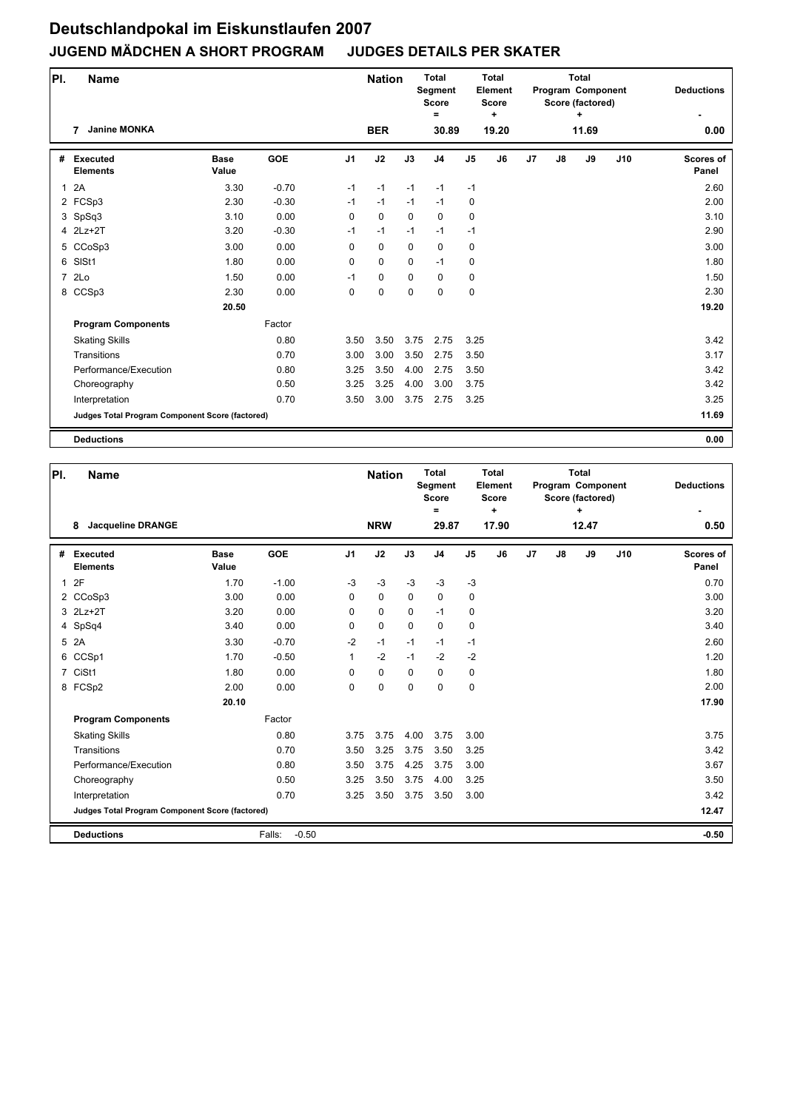| PI.            | <b>Name</b>                                     |                      |            |                | <b>Nation</b> |             | <b>Total</b><br>Segment<br><b>Score</b><br>$=$ |                | <b>Total</b><br>Element<br><b>Score</b><br>٠ |    |    | <b>Total</b><br>Program Component<br>Score (factored)<br>٠ |     | <b>Deductions</b>         |
|----------------|-------------------------------------------------|----------------------|------------|----------------|---------------|-------------|------------------------------------------------|----------------|----------------------------------------------|----|----|------------------------------------------------------------|-----|---------------------------|
|                | <b>Janine MONKA</b><br>7                        |                      |            |                | <b>BER</b>    |             | 30.89                                          |                | 19.20                                        |    |    | 11.69                                                      |     | 0.00                      |
| #              | <b>Executed</b><br><b>Elements</b>              | <b>Base</b><br>Value | <b>GOE</b> | J <sub>1</sub> | J2            | J3          | J <sub>4</sub>                                 | J <sub>5</sub> | J6                                           | J7 | J8 | J9                                                         | J10 | <b>Scores of</b><br>Panel |
| $\mathbf{1}$   | 2A                                              | 3.30                 | $-0.70$    | $-1$           | $-1$          | $-1$        | $-1$                                           | $-1$           |                                              |    |    |                                                            |     | 2.60                      |
|                | 2 FCSp3                                         | 2.30                 | $-0.30$    | $-1$           | $-1$          | $-1$        | $-1$                                           | 0              |                                              |    |    |                                                            |     | 2.00                      |
|                | 3 SpSq3                                         | 3.10                 | 0.00       | 0              | 0             | $\mathbf 0$ | $\mathbf 0$                                    | 0              |                                              |    |    |                                                            |     | 3.10                      |
|                | 4 2Lz+2T                                        | 3.20                 | $-0.30$    | $-1$           | $-1$          | $-1$        | $-1$                                           | $-1$           |                                              |    |    |                                                            |     | 2.90                      |
|                | 5 CCoSp3                                        | 3.00                 | 0.00       | 0              | 0             | $\mathbf 0$ | $\mathbf 0$                                    | 0              |                                              |    |    |                                                            |     | 3.00                      |
|                | 6 SISt1                                         | 1.80                 | 0.00       | $\Omega$       | $\Omega$      | $\mathbf 0$ | $-1$                                           | 0              |                                              |    |    |                                                            |     | 1.80                      |
| $\overline{7}$ | 2Lo                                             | 1.50                 | 0.00       | $-1$           | 0             | $\mathbf 0$ | $\mathbf 0$                                    | 0              |                                              |    |    |                                                            |     | 1.50                      |
|                | 8 CCSp3                                         | 2.30                 | 0.00       | 0              | 0             | 0           | $\mathbf 0$                                    | 0              |                                              |    |    |                                                            |     | 2.30                      |
|                |                                                 | 20.50                |            |                |               |             |                                                |                |                                              |    |    |                                                            |     | 19.20                     |
|                | <b>Program Components</b>                       |                      | Factor     |                |               |             |                                                |                |                                              |    |    |                                                            |     |                           |
|                | <b>Skating Skills</b>                           |                      | 0.80       | 3.50           | 3.50          | 3.75        | 2.75                                           | 3.25           |                                              |    |    |                                                            |     | 3.42                      |
|                | Transitions                                     |                      | 0.70       | 3.00           | 3.00          | 3.50        | 2.75                                           | 3.50           |                                              |    |    |                                                            |     | 3.17                      |
|                | Performance/Execution                           |                      | 0.80       | 3.25           | 3.50          | 4.00        | 2.75                                           | 3.50           |                                              |    |    |                                                            |     | 3.42                      |
|                | Choreography                                    |                      | 0.50       | 3.25           | 3.25          | 4.00        | 3.00                                           | 3.75           |                                              |    |    |                                                            |     | 3.42                      |
|                | Interpretation                                  |                      | 0.70       | 3.50           | 3.00          | 3.75        | 2.75                                           | 3.25           |                                              |    |    |                                                            |     | 3.25                      |
|                | Judges Total Program Component Score (factored) |                      |            |                |               |             |                                                |                |                                              |    |    |                                                            |     | 11.69                     |
|                | <b>Deductions</b>                               |                      |            |                |               |             |                                                |                |                                              |    |    |                                                            |     | 0.00                      |

| PI.          | <b>Name</b>                                     |                      |                   |                | <b>Nation</b> |             | <b>Total</b><br><b>Segment</b><br><b>Score</b><br>Ξ |               | <b>Total</b><br>Element<br><b>Score</b><br>٠ |    |    | <b>Total</b><br>Program Component<br>Score (factored)<br>÷ |     | <b>Deductions</b>         |
|--------------|-------------------------------------------------|----------------------|-------------------|----------------|---------------|-------------|-----------------------------------------------------|---------------|----------------------------------------------|----|----|------------------------------------------------------------|-----|---------------------------|
|              | <b>Jacqueline DRANGE</b><br>8                   |                      |                   |                | <b>NRW</b>    |             | 29.87                                               |               | 17.90                                        |    |    | 12.47                                                      |     | 0.50                      |
| #            | <b>Executed</b><br><b>Elements</b>              | <b>Base</b><br>Value | <b>GOE</b>        | J <sub>1</sub> | J2            | J3          | J <sub>4</sub>                                      | $\mathsf{J}5$ | J6                                           | J7 | J8 | J9                                                         | J10 | <b>Scores of</b><br>Panel |
| $\mathbf{1}$ | 2F                                              | 1.70                 | $-1.00$           | $-3$           | $-3$          | $-3$        | $-3$                                                | $-3$          |                                              |    |    |                                                            |     | 0.70                      |
|              | 2 CCoSp3                                        | 3.00                 | 0.00              | $\Omega$       | $\mathbf 0$   | $\mathbf 0$ | $\mathbf 0$                                         | 0             |                                              |    |    |                                                            |     | 3.00                      |
|              | 3 2Lz+2T                                        | 3.20                 | 0.00              | 0              | $\mathbf 0$   | $\Omega$    | $-1$                                                | 0             |                                              |    |    |                                                            |     | 3.20                      |
|              | 4 SpSq4                                         | 3.40                 | 0.00              | $\Omega$       | $\mathbf 0$   | $\Omega$    | $\mathbf 0$                                         | $\mathbf 0$   |                                              |    |    |                                                            |     | 3.40                      |
| 5            | 2A                                              | 3.30                 | $-0.70$           | $-2$           | $-1$          | $-1$        | $-1$                                                | $-1$          |                                              |    |    |                                                            |     | 2.60                      |
|              | 6 CCSp1                                         | 1.70                 | $-0.50$           | $\mathbf{1}$   | $-2$          | $-1$        | $-2$                                                | $-2$          |                                              |    |    |                                                            |     | 1.20                      |
|              | 7 CiSt1                                         | 1.80                 | 0.00              | 0              | $\mathbf 0$   | $\Omega$    | 0                                                   | 0             |                                              |    |    |                                                            |     | 1.80                      |
|              | 8 FCSp2                                         | 2.00                 | 0.00              | 0              | $\mathbf 0$   | $\mathbf 0$ | $\mathbf 0$                                         | $\pmb{0}$     |                                              |    |    |                                                            |     | 2.00                      |
|              |                                                 | 20.10                |                   |                |               |             |                                                     |               |                                              |    |    |                                                            |     | 17.90                     |
|              | <b>Program Components</b>                       |                      | Factor            |                |               |             |                                                     |               |                                              |    |    |                                                            |     |                           |
|              | <b>Skating Skills</b>                           |                      | 0.80              | 3.75           | 3.75          | 4.00        | 3.75                                                | 3.00          |                                              |    |    |                                                            |     | 3.75                      |
|              | Transitions                                     |                      | 0.70              | 3.50           | 3.25          | 3.75        | 3.50                                                | 3.25          |                                              |    |    |                                                            |     | 3.42                      |
|              | Performance/Execution                           |                      | 0.80              | 3.50           | 3.75          | 4.25        | 3.75                                                | 3.00          |                                              |    |    |                                                            |     | 3.67                      |
|              | Choreography                                    |                      | 0.50              | 3.25           | 3.50          | 3.75        | 4.00                                                | 3.25          |                                              |    |    |                                                            |     | 3.50                      |
|              | Interpretation                                  |                      | 0.70              | 3.25           | 3.50          | 3.75        | 3.50                                                | 3.00          |                                              |    |    |                                                            |     | 3.42                      |
|              | Judges Total Program Component Score (factored) |                      |                   |                |               |             |                                                     |               |                                              |    |    |                                                            |     | 12.47                     |
|              | <b>Deductions</b>                               |                      | $-0.50$<br>Falls: |                |               |             |                                                     |               |                                              |    |    |                                                            |     | $-0.50$                   |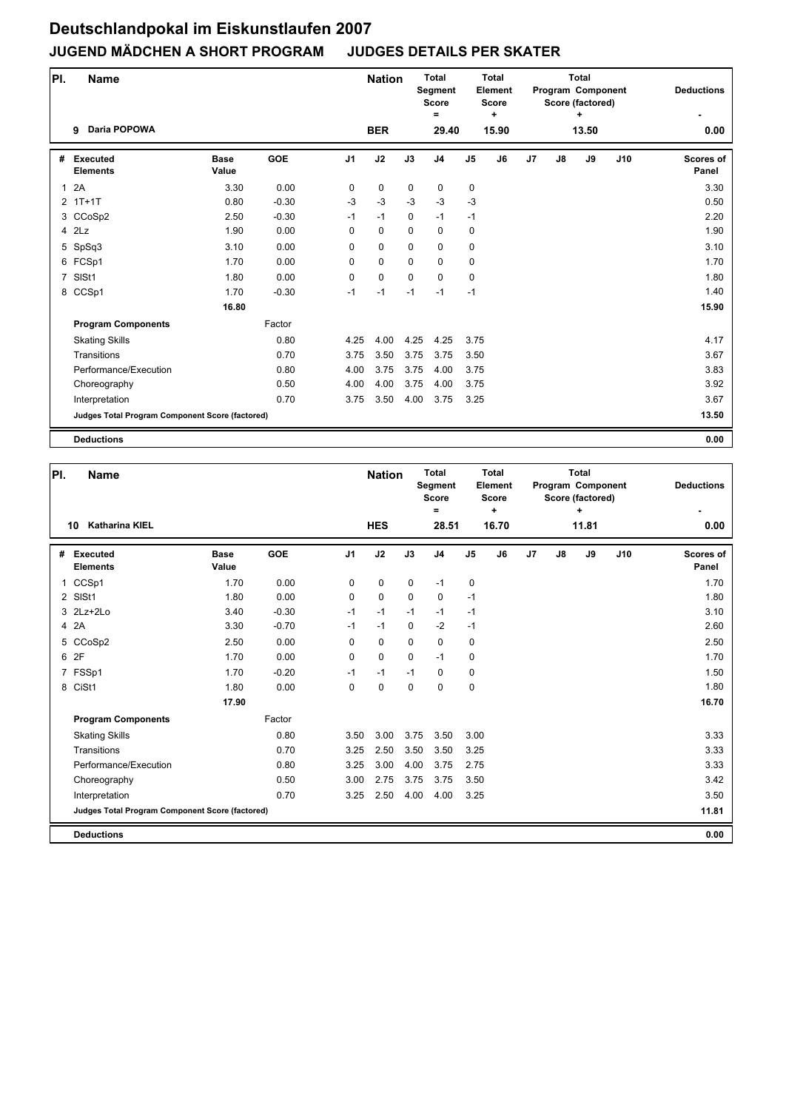| PI.            | <b>Name</b>                                     |                      |            |                | <b>Nation</b> |             | <b>Total</b><br>Segment<br><b>Score</b><br>$=$ |                | <b>Total</b><br>Element<br><b>Score</b><br>٠ |    |    | <b>Total</b><br>Program Component<br>Score (factored)<br>٠ |     | <b>Deductions</b>         |
|----------------|-------------------------------------------------|----------------------|------------|----------------|---------------|-------------|------------------------------------------------|----------------|----------------------------------------------|----|----|------------------------------------------------------------|-----|---------------------------|
|                | <b>Daria POPOWA</b><br>9                        |                      |            |                | <b>BER</b>    |             | 29.40                                          |                | 15.90                                        |    |    | 13.50                                                      |     | 0.00                      |
| #              | <b>Executed</b><br><b>Elements</b>              | <b>Base</b><br>Value | <b>GOE</b> | J <sub>1</sub> | J2            | J3          | J <sub>4</sub>                                 | J <sub>5</sub> | J6                                           | J7 | J8 | J9                                                         | J10 | <b>Scores of</b><br>Panel |
| $\mathbf{1}$   | 2A                                              | 3.30                 | 0.00       | 0              | 0             | $\mathbf 0$ | $\mathbf 0$                                    | 0              |                                              |    |    |                                                            |     | 3.30                      |
|                | $2$ 1T+1T                                       | 0.80                 | $-0.30$    | $-3$           | $-3$          | $-3$        | $-3$                                           | $-3$           |                                              |    |    |                                                            |     | 0.50                      |
|                | 3 CCoSp2                                        | 2.50                 | $-0.30$    | $-1$           | $-1$          | 0           | $-1$                                           | $-1$           |                                              |    |    |                                                            |     | 2.20                      |
|                | $4$ $2Lz$                                       | 1.90                 | 0.00       | 0              | 0             | $\mathbf 0$ | $\mathbf 0$                                    | 0              |                                              |    |    |                                                            |     | 1.90                      |
|                | 5 SpSq3                                         | 3.10                 | 0.00       | 0              | 0             | $\mathbf 0$ | $\mathbf 0$                                    | 0              |                                              |    |    |                                                            |     | 3.10                      |
|                | 6 FCSp1                                         | 1.70                 | 0.00       | $\Omega$       | 0             | $\Omega$    | $\mathbf 0$                                    | 0              |                                              |    |    |                                                            |     | 1.70                      |
| $\overline{7}$ | SISt1                                           | 1.80                 | 0.00       | 0              | 0             | $\mathbf 0$ | $\mathbf 0$                                    | 0              |                                              |    |    |                                                            |     | 1.80                      |
|                | 8 CCSp1                                         | 1.70                 | $-0.30$    | $-1$           | -1            | $-1$        | $-1$                                           | $-1$           |                                              |    |    |                                                            |     | 1.40                      |
|                |                                                 | 16.80                |            |                |               |             |                                                |                |                                              |    |    |                                                            |     | 15.90                     |
|                | <b>Program Components</b>                       |                      | Factor     |                |               |             |                                                |                |                                              |    |    |                                                            |     |                           |
|                | <b>Skating Skills</b>                           |                      | 0.80       | 4.25           | 4.00          | 4.25        | 4.25                                           | 3.75           |                                              |    |    |                                                            |     | 4.17                      |
|                | Transitions                                     |                      | 0.70       | 3.75           | 3.50          | 3.75        | 3.75                                           | 3.50           |                                              |    |    |                                                            |     | 3.67                      |
|                | Performance/Execution                           |                      | 0.80       | 4.00           | 3.75          | 3.75        | 4.00                                           | 3.75           |                                              |    |    |                                                            |     | 3.83                      |
|                | Choreography                                    |                      | 0.50       | 4.00           | 4.00          | 3.75        | 4.00                                           | 3.75           |                                              |    |    |                                                            |     | 3.92                      |
|                | Interpretation                                  |                      | 0.70       | 3.75           | 3.50          | 4.00        | 3.75                                           | 3.25           |                                              |    |    |                                                            |     | 3.67                      |
|                | Judges Total Program Component Score (factored) |                      |            |                |               |             |                                                |                |                                              |    |    |                                                            |     | 13.50                     |
|                | <b>Deductions</b>                               |                      |            |                |               |             |                                                |                |                                              |    |    |                                                            |     | 0.00                      |

| PI.          | <b>Name</b>                                     |                      |            |                | <b>Nation</b> |             | Total<br>Segment<br><b>Score</b><br>Ξ |                | Total<br>Element<br><b>Score</b><br>٠ |    |    | <b>Total</b><br>Program Component<br>Score (factored)<br>$\ddot{}$ |     | <b>Deductions</b>         |
|--------------|-------------------------------------------------|----------------------|------------|----------------|---------------|-------------|---------------------------------------|----------------|---------------------------------------|----|----|--------------------------------------------------------------------|-----|---------------------------|
|              | <b>Katharina KIEL</b><br>10                     |                      |            |                | <b>HES</b>    |             | 28.51                                 |                | 16.70                                 |    |    | 11.81                                                              |     | 0.00                      |
| #            | <b>Executed</b><br><b>Elements</b>              | <b>Base</b><br>Value | <b>GOE</b> | J <sub>1</sub> | J2            | J3          | J <sub>4</sub>                        | J <sub>5</sub> | J6                                    | J7 | J8 | J9                                                                 | J10 | <b>Scores of</b><br>Panel |
| $\mathbf{1}$ | CCSp1                                           | 1.70                 | 0.00       | 0              | $\mathbf 0$   | $\mathbf 0$ | $-1$                                  | $\pmb{0}$      |                                       |    |    |                                                                    |     | 1.70                      |
|              | 2 SISt1                                         | 1.80                 | 0.00       | $\Omega$       | $\mathbf 0$   | $\mathbf 0$ | 0                                     | $-1$           |                                       |    |    |                                                                    |     | 1.80                      |
|              | 3 2Lz+2Lo                                       | 3.40                 | $-0.30$    | $-1$           | $-1$          | $-1$        | $-1$                                  | $-1$           |                                       |    |    |                                                                    |     | 3.10                      |
|              | 4 2A                                            | 3.30                 | $-0.70$    | $-1$           | $-1$          | $\Omega$    | $-2$                                  | $-1$           |                                       |    |    |                                                                    |     | 2.60                      |
|              | 5 CCoSp2                                        | 2.50                 | 0.00       | 0              | $\mathbf 0$   | $\Omega$    | $\Omega$                              | 0              |                                       |    |    |                                                                    |     | 2.50                      |
|              | 6 2F                                            | 1.70                 | 0.00       | 0              | $\mathbf 0$   | $\mathbf 0$ | $-1$                                  | 0              |                                       |    |    |                                                                    |     | 1.70                      |
|              | 7 FSSp1                                         | 1.70                 | $-0.20$    | $-1$           | $-1$          | $-1$        | 0                                     | $\mathbf 0$    |                                       |    |    |                                                                    |     | 1.50                      |
|              | 8 CiSt1                                         | 1.80                 | 0.00       | $\mathbf 0$    | $\pmb{0}$     | $\mathbf 0$ | 0                                     | $\pmb{0}$      |                                       |    |    |                                                                    |     | 1.80                      |
|              |                                                 | 17.90                |            |                |               |             |                                       |                |                                       |    |    |                                                                    |     | 16.70                     |
|              | <b>Program Components</b>                       |                      | Factor     |                |               |             |                                       |                |                                       |    |    |                                                                    |     |                           |
|              | <b>Skating Skills</b>                           |                      | 0.80       | 3.50           | 3.00          | 3.75        | 3.50                                  | 3.00           |                                       |    |    |                                                                    |     | 3.33                      |
|              | Transitions                                     |                      | 0.70       | 3.25           | 2.50          | 3.50        | 3.50                                  | 3.25           |                                       |    |    |                                                                    |     | 3.33                      |
|              | Performance/Execution                           |                      | 0.80       | 3.25           | 3.00          | 4.00        | 3.75                                  | 2.75           |                                       |    |    |                                                                    |     | 3.33                      |
|              | Choreography                                    |                      | 0.50       | 3.00           | 2.75          | 3.75        | 3.75                                  | 3.50           |                                       |    |    |                                                                    |     | 3.42                      |
|              | Interpretation                                  |                      | 0.70       | 3.25           | 2.50          | 4.00        | 4.00                                  | 3.25           |                                       |    |    |                                                                    |     | 3.50                      |
|              | Judges Total Program Component Score (factored) |                      |            |                |               |             |                                       |                |                                       |    |    |                                                                    |     | 11.81                     |
|              | <b>Deductions</b>                               |                      |            |                |               |             |                                       |                |                                       |    |    |                                                                    |     | 0.00                      |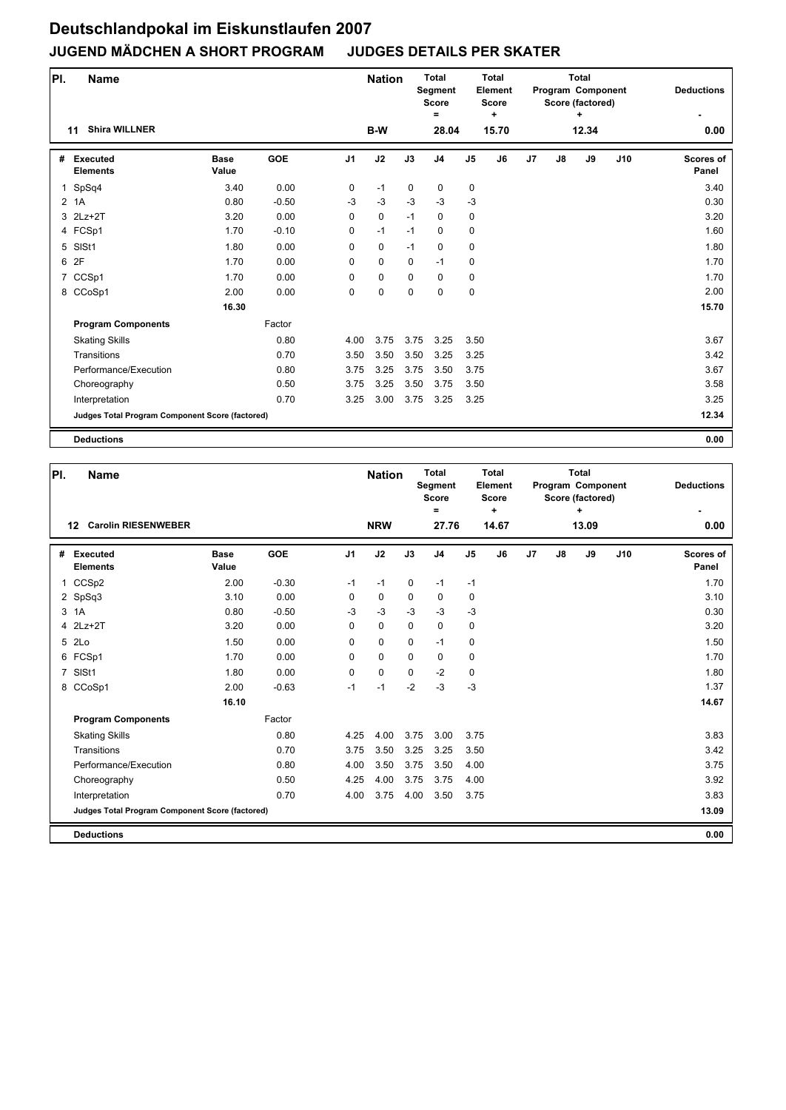| PI. | <b>Name</b>                                     |                      |            |                | <b>Nation</b> |             | <b>Total</b><br>Segment<br><b>Score</b><br>$\equiv$ |                | <b>Total</b><br>Element<br>Score<br>٠ |    |                | <b>Total</b><br>Program Component<br>Score (factored)<br>٠ |     | <b>Deductions</b>         |
|-----|-------------------------------------------------|----------------------|------------|----------------|---------------|-------------|-----------------------------------------------------|----------------|---------------------------------------|----|----------------|------------------------------------------------------------|-----|---------------------------|
|     | <b>Shira WILLNER</b><br>11                      |                      |            |                | B-W           |             | 28.04                                               |                | 15.70                                 |    |                | 12.34                                                      |     | 0.00                      |
| #   | <b>Executed</b><br><b>Elements</b>              | <b>Base</b><br>Value | <b>GOE</b> | J <sub>1</sub> | J2            | J3          | J <sub>4</sub>                                      | J <sub>5</sub> | J6                                    | J7 | $\mathbf{J}$ 8 | J9                                                         | J10 | <b>Scores of</b><br>Panel |
| 1   | SpSq4                                           | 3.40                 | 0.00       | 0              | $-1$          | $\mathbf 0$ | 0                                                   | 0              |                                       |    |                |                                                            |     | 3.40                      |
|     | 2 1A                                            | 0.80                 | $-0.50$    | $-3$           | $-3$          | $-3$        | $-3$                                                | $-3$           |                                       |    |                |                                                            |     | 0.30                      |
|     | 3 2Lz+2T                                        | 3.20                 | 0.00       | 0              | 0             | $-1$        | $\mathbf 0$                                         | 0              |                                       |    |                |                                                            |     | 3.20                      |
|     | 4 FCSp1                                         | 1.70                 | $-0.10$    | 0              | $-1$          | $-1$        | $\mathbf 0$                                         | 0              |                                       |    |                |                                                            |     | 1.60                      |
|     | 5 SISt1                                         | 1.80                 | 0.00       | 0              | 0             | $-1$        | 0                                                   | 0              |                                       |    |                |                                                            |     | 1.80                      |
|     | 6 2F                                            | 1.70                 | 0.00       | $\Omega$       | 0             | $\mathbf 0$ | $-1$                                                | 0              |                                       |    |                |                                                            |     | 1.70                      |
|     | 7 CCSp1                                         | 1.70                 | 0.00       | 0              | 0             | $\mathbf 0$ | $\mathbf 0$                                         | 0              |                                       |    |                |                                                            |     | 1.70                      |
|     | 8 CCoSp1                                        | 2.00                 | 0.00       | 0              | 0             | $\Omega$    | $\mathbf 0$                                         | 0              |                                       |    |                |                                                            |     | 2.00                      |
|     |                                                 | 16.30                |            |                |               |             |                                                     |                |                                       |    |                |                                                            |     | 15.70                     |
|     | <b>Program Components</b>                       |                      | Factor     |                |               |             |                                                     |                |                                       |    |                |                                                            |     |                           |
|     | <b>Skating Skills</b>                           |                      | 0.80       | 4.00           | 3.75          | 3.75        | 3.25                                                | 3.50           |                                       |    |                |                                                            |     | 3.67                      |
|     | Transitions                                     |                      | 0.70       | 3.50           | 3.50          | 3.50        | 3.25                                                | 3.25           |                                       |    |                |                                                            |     | 3.42                      |
|     | Performance/Execution                           |                      | 0.80       | 3.75           | 3.25          | 3.75        | 3.50                                                | 3.75           |                                       |    |                |                                                            |     | 3.67                      |
|     | Choreography                                    |                      | 0.50       | 3.75           | 3.25          | 3.50        | 3.75                                                | 3.50           |                                       |    |                |                                                            |     | 3.58                      |
|     | Interpretation                                  |                      | 0.70       | 3.25           | 3.00          | 3.75        | 3.25                                                | 3.25           |                                       |    |                |                                                            |     | 3.25                      |
|     | Judges Total Program Component Score (factored) |                      |            |                |               |             |                                                     |                |                                       |    |                |                                                            |     | 12.34                     |
|     | <b>Deductions</b>                               |                      |            |                |               |             |                                                     |                |                                       |    |                |                                                            |     | 0.00                      |

| PI.            | <b>Name</b>                                     |                      |            |                | <b>Nation</b> |             | <b>Total</b><br>Segment<br><b>Score</b><br>$=$ |                | <b>Total</b><br>Element<br><b>Score</b><br>٠ |    |    | <b>Total</b><br>Program Component<br>Score (factored)<br>÷ |     | <b>Deductions</b>         |
|----------------|-------------------------------------------------|----------------------|------------|----------------|---------------|-------------|------------------------------------------------|----------------|----------------------------------------------|----|----|------------------------------------------------------------|-----|---------------------------|
|                | <b>Carolin RIESENWEBER</b><br>12                |                      |            |                | <b>NRW</b>    |             | 27.76                                          |                | 14.67                                        |    |    | 13.09                                                      |     | 0.00                      |
|                | # Executed<br><b>Elements</b>                   | <b>Base</b><br>Value | <b>GOE</b> | J <sub>1</sub> | J2            | J3          | J <sub>4</sub>                                 | J <sub>5</sub> | J6                                           | J7 | J8 | J9                                                         | J10 | <b>Scores of</b><br>Panel |
| $\mathbf{1}$   | CCSp2                                           | 2.00                 | $-0.30$    | $-1$           | $-1$          | $\mathbf 0$ | $-1$                                           | $-1$           |                                              |    |    |                                                            |     | 1.70                      |
|                | 2 SpSq3                                         | 3.10                 | 0.00       | $\mathbf 0$    | $\mathbf 0$   | $\mathbf 0$ | $\mathbf 0$                                    | 0              |                                              |    |    |                                                            |     | 3.10                      |
|                | 3 1A                                            | 0.80                 | $-0.50$    | $-3$           | $-3$          | $-3$        | $-3$                                           | $-3$           |                                              |    |    |                                                            |     | 0.30                      |
| $\overline{4}$ | $2Lz+2T$                                        | 3.20                 | 0.00       | $\mathbf 0$    | $\mathbf 0$   | $\mathbf 0$ | $\mathbf 0$                                    | $\pmb{0}$      |                                              |    |    |                                                            |     | 3.20                      |
|                | 5 2Lo                                           | 1.50                 | 0.00       | 0              | $\mathbf 0$   | $\Omega$    | $-1$                                           | $\pmb{0}$      |                                              |    |    |                                                            |     | 1.50                      |
|                | 6 FCSp1                                         | 1.70                 | 0.00       | 0              | $\mathbf 0$   | $\mathbf 0$ | $\mathbf 0$                                    | 0              |                                              |    |    |                                                            |     | 1.70                      |
| $\overline{7}$ | SISt1                                           | 1.80                 | 0.00       | $\Omega$       | $\mathbf 0$   | $\Omega$    | $-2$                                           | $\pmb{0}$      |                                              |    |    |                                                            |     | 1.80                      |
|                | 8 CCoSp1                                        | 2.00                 | $-0.63$    | $-1$           | $-1$          | $-2$        | $-3$                                           | $-3$           |                                              |    |    |                                                            |     | 1.37                      |
|                |                                                 | 16.10                |            |                |               |             |                                                |                |                                              |    |    |                                                            |     | 14.67                     |
|                | <b>Program Components</b>                       |                      | Factor     |                |               |             |                                                |                |                                              |    |    |                                                            |     |                           |
|                | <b>Skating Skills</b>                           |                      | 0.80       | 4.25           | 4.00          | 3.75        | 3.00                                           | 3.75           |                                              |    |    |                                                            |     | 3.83                      |
|                | Transitions                                     |                      | 0.70       | 3.75           | 3.50          | 3.25        | 3.25                                           | 3.50           |                                              |    |    |                                                            |     | 3.42                      |
|                | Performance/Execution                           |                      | 0.80       | 4.00           | 3.50          | 3.75        | 3.50                                           | 4.00           |                                              |    |    |                                                            |     | 3.75                      |
|                | Choreography                                    |                      | 0.50       | 4.25           | 4.00          | 3.75        | 3.75                                           | 4.00           |                                              |    |    |                                                            |     | 3.92                      |
|                | Interpretation                                  |                      | 0.70       | 4.00           | 3.75          | 4.00        | 3.50                                           | 3.75           |                                              |    |    |                                                            |     | 3.83                      |
|                | Judges Total Program Component Score (factored) |                      |            |                |               |             |                                                |                |                                              |    |    |                                                            |     | 13.09                     |
|                | <b>Deductions</b>                               |                      |            |                |               |             |                                                |                |                                              |    |    |                                                            |     | 0.00                      |